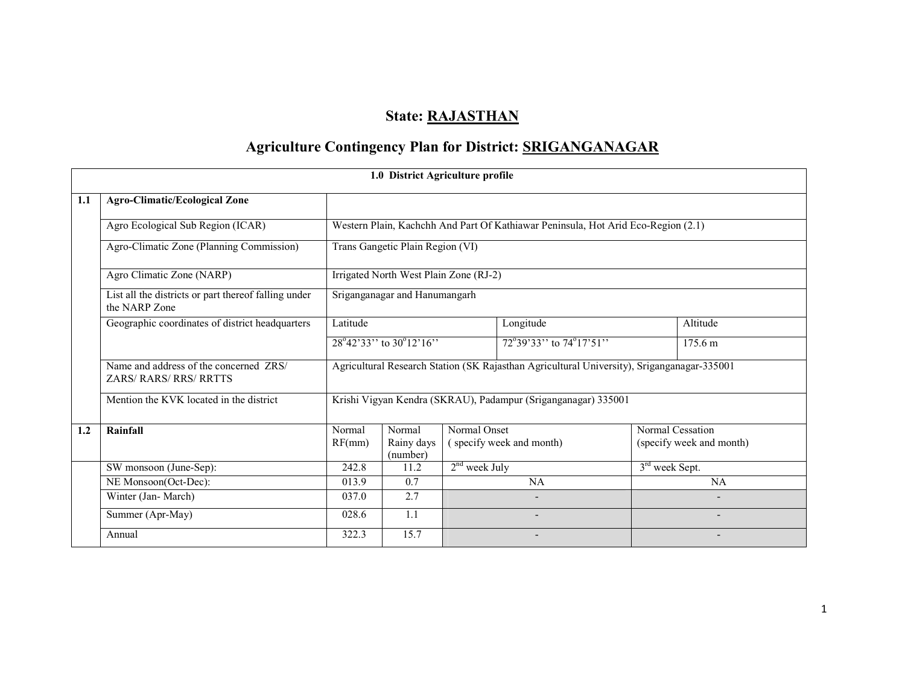# State: RAJASTHAN

# Agriculture Contingency Plan for District: SRIGANGANAGAR

|     |                                                                       |                  | 1.0 District Agriculture profile                           |                 |                                                                                            |                  |                                              |  |  |
|-----|-----------------------------------------------------------------------|------------------|------------------------------------------------------------|-----------------|--------------------------------------------------------------------------------------------|------------------|----------------------------------------------|--|--|
| 1.1 | <b>Agro-Climatic/Ecological Zone</b>                                  |                  |                                                            |                 |                                                                                            |                  |                                              |  |  |
|     | Agro Ecological Sub Region (ICAR)                                     |                  |                                                            |                 | Western Plain, Kachchh And Part Of Kathiawar Peninsula, Hot Arid Eco-Region (2.1)          |                  |                                              |  |  |
|     | Agro-Climatic Zone (Planning Commission)                              |                  | Trans Gangetic Plain Region (VI)                           |                 |                                                                                            |                  |                                              |  |  |
|     | Agro Climatic Zone (NARP)                                             |                  | Irrigated North West Plain Zone (RJ-2)                     |                 |                                                                                            |                  |                                              |  |  |
|     | List all the districts or part thereof falling under<br>the NARP Zone |                  | Sriganganagar and Hanumangarh                              |                 |                                                                                            |                  |                                              |  |  |
|     | Geographic coordinates of district headquarters                       | Latitude         |                                                            |                 | Longitude                                                                                  |                  | Altitude                                     |  |  |
|     |                                                                       |                  | $28^{\circ}42^{\prime}33$ " to $30^{\circ}12^{\prime}16$ " |                 | 72°39'33'' to 74°17'51''                                                                   |                  | 175.6 m                                      |  |  |
|     | Name and address of the concerned ZRS/<br><b>ZARS/RARS/RRS/RRTTS</b>  |                  |                                                            |                 | Agricultural Research Station (SK Rajasthan Agricultural University), Sriganganagar-335001 |                  |                                              |  |  |
|     | Mention the KVK located in the district                               |                  |                                                            |                 | Krishi Vigyan Kendra (SKRAU), Padampur (Sriganganagar) 335001                              |                  |                                              |  |  |
| 1.2 | Rainfall                                                              | Normal<br>RF(mm) | Normal<br>Rainy days<br>(number)                           | Normal Onset    | (specify week and month)                                                                   |                  | Normal Cessation<br>(specify week and month) |  |  |
|     | SW monsoon (June-Sep):                                                | 242.8            | 11.2                                                       | $2nd$ week July |                                                                                            | $3rd$ week Sept. |                                              |  |  |
|     | NE Monsoon(Oct-Dec):                                                  | 013.9            | 0.7                                                        |                 | <b>NA</b>                                                                                  |                  | <b>NA</b>                                    |  |  |
|     | Winter (Jan-March)                                                    | 037.0            | 2.7                                                        |                 |                                                                                            |                  |                                              |  |  |
|     | Summer (Apr-May)                                                      | 028.6            | 1.1                                                        |                 | $\overline{\phantom{0}}$                                                                   |                  |                                              |  |  |
|     | Annual                                                                | 322.3            | 15.7                                                       |                 | -                                                                                          |                  | $\overline{\phantom{0}}$                     |  |  |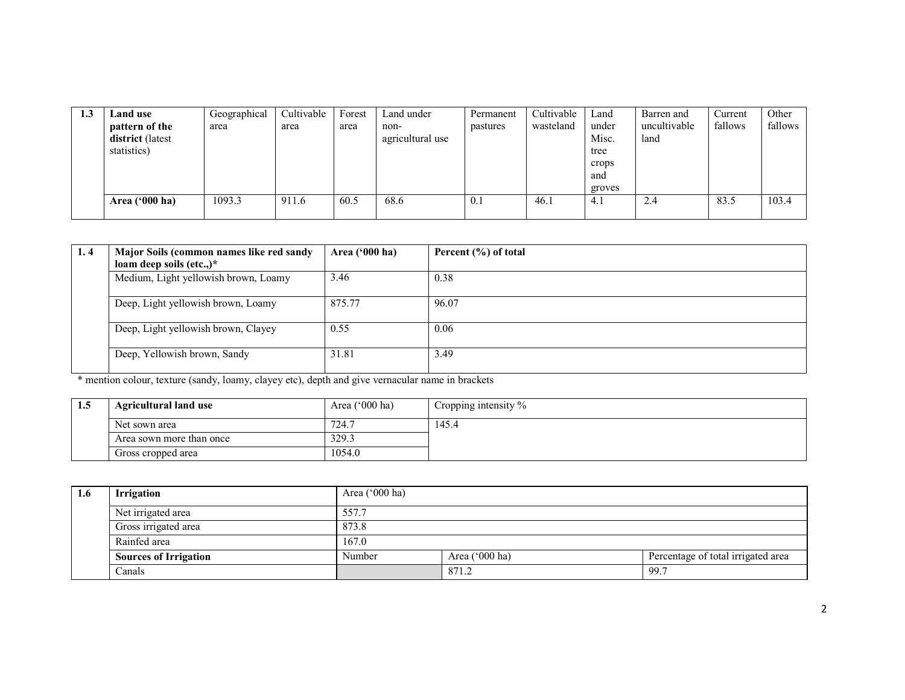| 1.3 | Land use         | Geographical | Cultivable | Forest | Land under       | Permanent | Cultivable | Land   | Barren and   | Current | Other   |
|-----|------------------|--------------|------------|--------|------------------|-----------|------------|--------|--------------|---------|---------|
|     | pattern of the   | area         | area       | area   | non-             | pastures  | wasteland  | under  | uncultivable | fallows | fallows |
|     | district (latest |              |            |        | agricultural use |           |            | Misc.  | land         |         |         |
|     | statistics)      |              |            |        |                  |           |            | tree   |              |         |         |
|     |                  |              |            |        |                  |           |            | crops  |              |         |         |
|     |                  |              |            |        |                  |           |            | and    |              |         |         |
|     |                  |              |            |        |                  |           |            | groves |              |         |         |
|     | Area $(900)$ ha) | 1093.3       | 911.6      | 60.5   | 68.6             | 0.1       | 46.1       | 4.1    | 2.4          | 83.5    | 103.4   |
|     |                  |              |            |        |                  |           |            |        |              |         |         |

| 1.4 | Major Soils (common names like red sandy<br>loam deep soils (etc.,) $*$ | Area ('000 ha) | Percent $(\% )$ of total |
|-----|-------------------------------------------------------------------------|----------------|--------------------------|
|     | Medium, Light yellowish brown, Loamy                                    | 3.46           | 0.38                     |
|     | Deep, Light yellowish brown, Loamy                                      | 875.77         | 96.07                    |
|     | Deep, Light yellowish brown, Clayey                                     | 0.55           | 0.06                     |
|     | Deep, Yellowish brown, Sandy                                            | 31.81          | 3.49                     |

\* mention colour, texture (sandy, loamy, clayey etc), depth and give vernacular name in brackets

| 1.5 | <b>Agricultural land use</b> | Area $('000 ha)$ | Cropping intensity $\%$ |
|-----|------------------------------|------------------|-------------------------|
|     | Net sown area                | 724.             | 145.4                   |
|     | Area sown more than once     | 329.3            |                         |
|     | Gross cropped area           | 1054.0           |                         |

| 1.6 | Irrigation                   | Area $('000 ha)$ |                  |                                    |  |  |
|-----|------------------------------|------------------|------------------|------------------------------------|--|--|
|     | Net irrigated area           | 557.7            |                  |                                    |  |  |
|     | Gross irrigated area         | 873.8            |                  |                                    |  |  |
|     | Rainfed area                 | 167.0            |                  |                                    |  |  |
|     | <b>Sources of Irrigation</b> | Number           | Area $('000 ha)$ | Percentage of total irrigated area |  |  |
|     | Canals                       |                  | 871.2            | 99.7                               |  |  |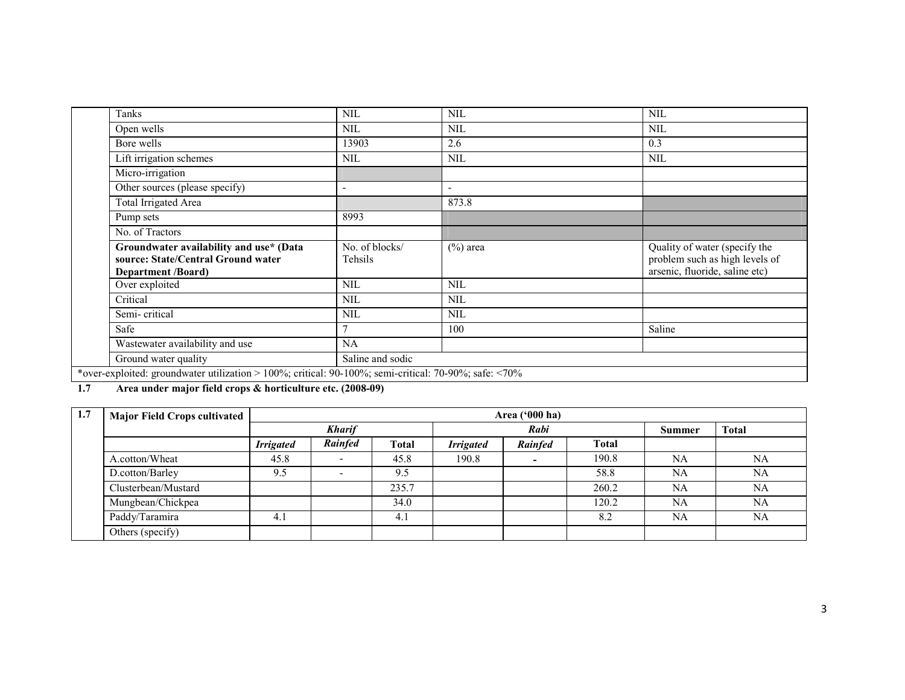| Tanks                                                                                                      |                           |                          |                                                                                                   |
|------------------------------------------------------------------------------------------------------------|---------------------------|--------------------------|---------------------------------------------------------------------------------------------------|
|                                                                                                            | <b>NIL</b>                | <b>NIL</b>               | <b>NIL</b>                                                                                        |
| Open wells                                                                                                 | <b>NIL</b>                | <b>NIL</b>               | <b>NIL</b>                                                                                        |
| Bore wells                                                                                                 | 13903                     | 2.6                      | 0.3                                                                                               |
| Lift irrigation schemes                                                                                    | <b>NIL</b>                | <b>NIL</b>               | <b>NIL</b>                                                                                        |
| Micro-irrigation                                                                                           |                           |                          |                                                                                                   |
| Other sources (please specify)                                                                             | $\overline{\phantom{0}}$  | $\overline{\phantom{a}}$ |                                                                                                   |
| Total Irrigated Area                                                                                       |                           | 873.8                    |                                                                                                   |
| Pump sets                                                                                                  | 8993                      |                          |                                                                                                   |
| No. of Tractors                                                                                            |                           |                          |                                                                                                   |
| Groundwater availability and use* (Data<br>source: State/Central Ground water<br><b>Department /Board)</b> | No. of blocks/<br>Tehsils | $(\%)$ area              | Quality of water (specify the<br>problem such as high levels of<br>arsenic, fluoride, saline etc) |
| Over exploited                                                                                             | <b>NIL</b>                | <b>NIL</b>               |                                                                                                   |
| Critical                                                                                                   | <b>NIL</b>                | <b>NIL</b>               |                                                                                                   |
| Semi-critical                                                                                              | <b>NIL</b>                | <b>NIL</b>               |                                                                                                   |
| Safe                                                                                                       | $\mathcal{I}$             | 100                      | Saline                                                                                            |
| Wastewater availability and use                                                                            | NA                        |                          |                                                                                                   |
| Ground water quality                                                                                       | Saline and sodic          |                          |                                                                                                   |
| *over-exploited: groundwater utilization > 100%; critical: 90-100%; semi-critical: 70-90%; safe: <70%      |                           |                          |                                                                                                   |

1.7 Area under major field crops & horticulture etc. (2008-09)

| 1.7 | <b>Major Field Crops cultivated</b> |                  | Area ('000 ha)           |              |                  |         |              |              |           |
|-----|-------------------------------------|------------------|--------------------------|--------------|------------------|---------|--------------|--------------|-----------|
|     |                                     |                  | <b>Kharif</b>            |              |                  | Rabi    | Summer       | <b>Total</b> |           |
|     |                                     | <b>Irrigated</b> | Rainfed                  | <b>Total</b> | <b>Irrigated</b> | Rainfed | <b>Total</b> |              |           |
|     | A.cotton/Wheat                      | 45.8             | $\overline{\phantom{0}}$ | 45.8         | 190.8            |         | 190.8        | NA           | NA        |
|     | D.cotton/Barley                     | 9.5              | -                        | 9.5          |                  |         | 58.8         | NA           | <b>NA</b> |
|     | Clusterbean/Mustard                 |                  |                          | 235.7        |                  |         | 260.2        | <b>NA</b>    | NA        |
|     | Mungbean/Chickpea                   |                  |                          | 34.0         |                  |         | 120.2        | NA           | NA        |
|     | Paddy/Taramira                      | $-4.1$           |                          | 4.1          |                  |         | 8.2          | NA           | <b>NA</b> |
|     | Others (specify)                    |                  |                          |              |                  |         |              |              |           |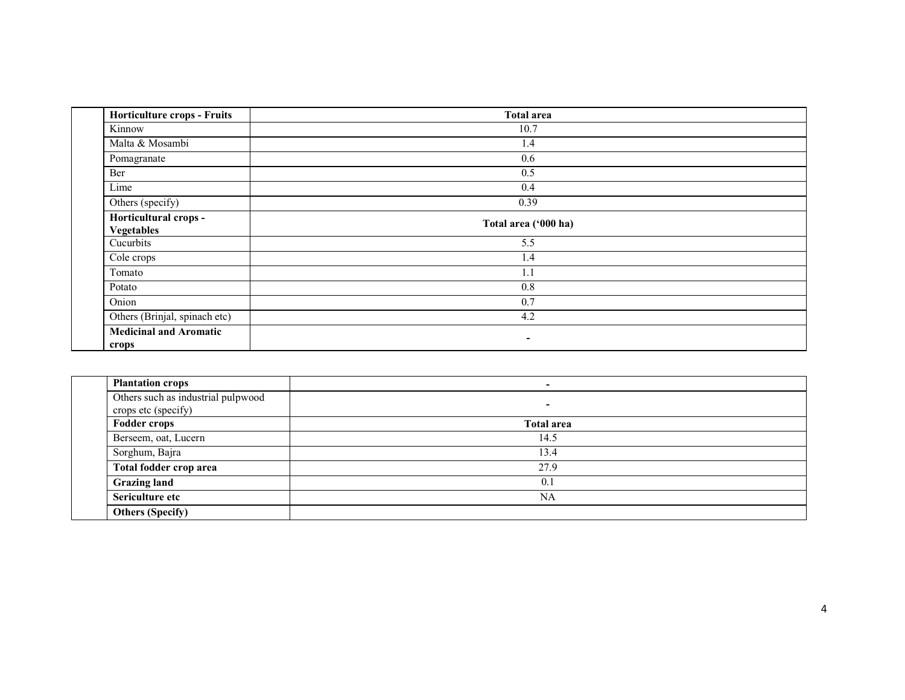| <b>Horticulture crops - Fruits</b>         | <b>Total area</b>        |  |
|--------------------------------------------|--------------------------|--|
| Kinnow                                     | 10.7                     |  |
| Malta & Mosambi                            | 1.4                      |  |
| Pomagranate                                | 0.6                      |  |
| Ber                                        | 0.5                      |  |
| Lime                                       | 0.4                      |  |
| Others (specify)                           | 0.39                     |  |
| Horticultural crops -<br><b>Vegetables</b> | Total area ('000 ha)     |  |
| Cucurbits                                  | 5.5                      |  |
| Cole crops                                 | 1.4                      |  |
| Tomato                                     | 1.1                      |  |
| Potato                                     | 0.8                      |  |
| Onion                                      | 0.7                      |  |
| Others (Brinjal, spinach etc)              | 4.2                      |  |
| <b>Medicinal and Aromatic</b><br>crops     | $\overline{\phantom{a}}$ |  |

| <b>Plantation crops</b>                                   | $\sim$                   |  |
|-----------------------------------------------------------|--------------------------|--|
| Others such as industrial pulpwood<br>crops etc (specify) | $\overline{\phantom{a}}$ |  |
| <b>Fodder crops</b>                                       | <b>Total area</b>        |  |
| Berseem, oat, Lucern                                      | 14.5                     |  |
| Sorghum, Bajra                                            | 13.4                     |  |
| Total fodder crop area                                    | 27.9                     |  |
| <b>Grazing land</b>                                       | 0.1                      |  |
| Sericulture etc                                           | NA                       |  |
| <b>Others (Specify)</b>                                   |                          |  |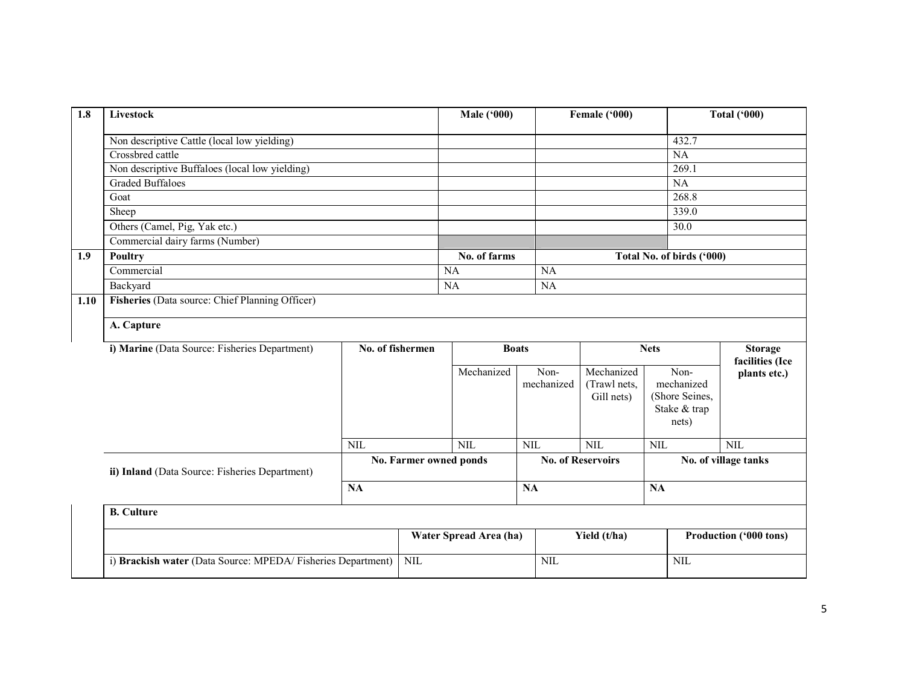| 1.8  | Livestock                                       |            |                                  | <b>Male ('000)</b>     |                         | Female ('000)                                       |                                                               | <b>Total ('000)</b>                |
|------|-------------------------------------------------|------------|----------------------------------|------------------------|-------------------------|-----------------------------------------------------|---------------------------------------------------------------|------------------------------------|
|      | Non descriptive Cattle (local low yielding)     |            |                                  |                        |                         |                                                     | 432.7                                                         |                                    |
|      | Crossbred cattle                                |            |                                  |                        |                         |                                                     | $\overline{NA}$                                               |                                    |
|      | Non descriptive Buffaloes (local low yielding)  |            |                                  |                        |                         |                                                     | 269.1                                                         |                                    |
|      | <b>Graded Buffaloes</b>                         |            |                                  |                        |                         |                                                     | NA                                                            |                                    |
|      | Goat                                            |            |                                  |                        |                         |                                                     | 268.8                                                         |                                    |
|      | Sheep                                           |            |                                  |                        |                         |                                                     | 339.0                                                         |                                    |
|      | Others (Camel, Pig, Yak etc.)                   |            |                                  |                        |                         |                                                     | 30.0                                                          |                                    |
|      | Commercial dairy farms (Number)                 |            |                                  |                        |                         |                                                     |                                                               |                                    |
| 1.9  | <b>Poultry</b>                                  |            |                                  | No. of farms           |                         |                                                     | Total No. of birds ('000)                                     |                                    |
|      | Commercial                                      |            |                                  | <b>NA</b>              | <b>NA</b>               |                                                     |                                                               |                                    |
|      | Backyard                                        |            |                                  | $\overline{NA}$        | NA                      |                                                     |                                                               |                                    |
| 1.10 | Fisheries (Data source: Chief Planning Officer) |            |                                  |                        |                         |                                                     |                                                               |                                    |
|      | A. Capture                                      |            |                                  |                        |                         |                                                     |                                                               |                                    |
|      | i) Marine (Data Source: Fisheries Department)   |            | No. of fishermen<br><b>Boats</b> |                        |                         | <b>Nets</b>                                         |                                                               | <b>Storage</b>                     |
|      |                                                 |            |                                  |                        |                         |                                                     |                                                               |                                    |
|      |                                                 |            |                                  |                        |                         |                                                     |                                                               | facilities (Ice                    |
|      |                                                 |            |                                  | Mechanized             | Non-<br>mechanized      | Mechanized<br>(Trawl nets,<br>Gill nets)            | Non-<br>mechanized<br>(Shore Seines,<br>Stake & trap<br>nets) | plants etc.)                       |
|      |                                                 |            |                                  |                        |                         |                                                     |                                                               |                                    |
|      | ii) Inland (Data Source: Fisheries Department)  | <b>NIL</b> | No. Farmer owned ponds           | NIL                    | $\overline{\text{NIL}}$ | $\overline{\text{NIL}}$<br><b>No. of Reservoirs</b> | $\overline{\text{NIL}}$                                       | <b>NIL</b><br>No. of village tanks |
|      |                                                 | <b>NA</b>  |                                  |                        | NA                      |                                                     | <b>NA</b>                                                     |                                    |
|      | <b>B.</b> Culture                               |            |                                  |                        |                         |                                                     |                                                               |                                    |
|      |                                                 |            |                                  | Water Spread Area (ha) |                         | Yield (t/ha)                                        |                                                               | Production ('000 tons)             |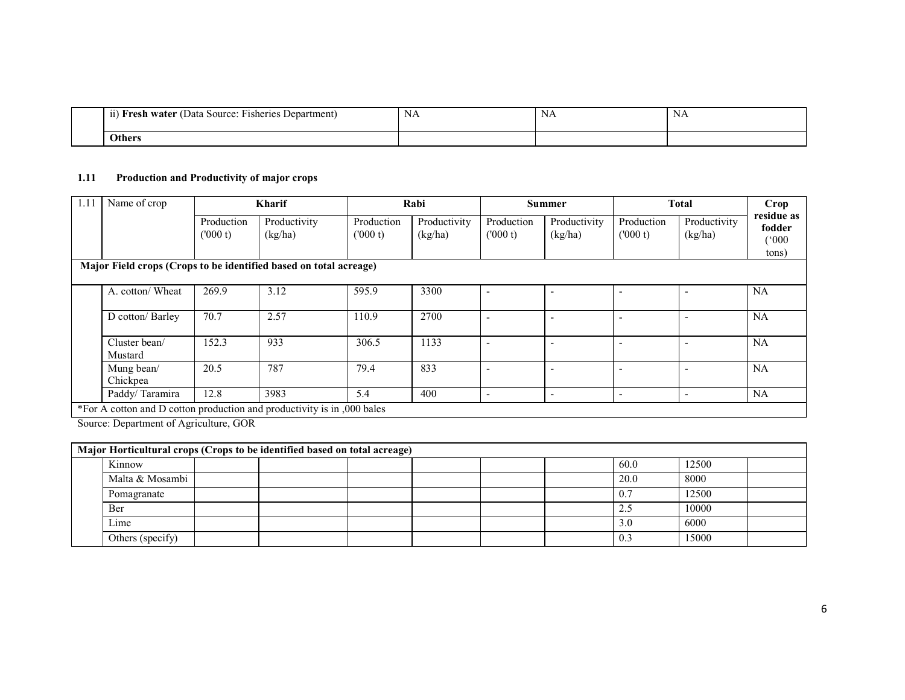| $\sim$<br>$\cdots$<br>÷-<br>11<br><b>Fisheries</b><br>Department<br>ı water (<br>Data<br>Source:<br>Fresh | ΝA | $\mathbf{v}$<br>ΝA | NA |  |
|-----------------------------------------------------------------------------------------------------------|----|--------------------|----|--|
| <b>Others</b>                                                                                             |    |                    |    |  |

### 1.11 Production and Productivity of major crops

| 1.11 | Name of crop                                                            | <b>Kharif</b>         |                         |                       | Rabi                    |                              | <b>Summer</b>           | <b>Total</b>             |                          | Crop                                   |
|------|-------------------------------------------------------------------------|-----------------------|-------------------------|-----------------------|-------------------------|------------------------------|-------------------------|--------------------------|--------------------------|----------------------------------------|
|      |                                                                         | Production<br>(000 t) | Productivity<br>(kg/ha) | Production<br>(000 t) | Productivity<br>(kg/ha) | Production<br>(000 t)        | Productivity<br>(kg/ha) | Production<br>(000 t)    | Productivity<br>(kg/ha)  | residue as<br>fodder<br>(000)<br>tons) |
|      | Major Field crops (Crops to be identified based on total acreage)       |                       |                         |                       |                         |                              |                         |                          |                          |                                        |
|      | A. cotton/ Wheat                                                        | 269.9                 | 3.12                    | 595.9                 | 3300                    | $\blacksquare$               |                         | $\overline{\phantom{0}}$ |                          | NA                                     |
|      | D cotton/ Barley                                                        | 70.7                  | 2.57                    | 110.9                 | 2700                    | $\overline{\phantom{0}}$     |                         |                          |                          | <b>NA</b>                              |
|      | Cluster bean/<br>Mustard                                                | 152.3                 | 933                     | 306.5                 | 1133                    | $\overline{\phantom{0}}$     |                         |                          | $\sim$                   | <b>NA</b>                              |
|      | Mung bean/<br>Chickpea                                                  | 20.5                  | 787                     | 79.4                  | 833                     | $\overline{\phantom{0}}$     |                         |                          |                          | <b>NA</b>                              |
|      | Paddy/Taramira                                                          | 12.8                  | 3983                    | 5.4                   | 400                     | $\qquad \qquad \blacksquare$ | ٠                       | $\overline{\phantom{a}}$ | $\overline{\phantom{a}}$ | <b>NA</b>                              |
|      | *For A cotton and D cotton production and productivity is in ,000 bales |                       |                         |                       |                         |                              |                         |                          |                          |                                        |

Source: Department of Agriculture, GOR

| Major Horticultural crops (Crops to be identified based on total acreage) |  |  |  |  |  |      |       |  |
|---------------------------------------------------------------------------|--|--|--|--|--|------|-------|--|
| Kinnow                                                                    |  |  |  |  |  | 60.0 | 12500 |  |
| Malta & Mosambi                                                           |  |  |  |  |  | 20.0 | 8000  |  |
| Pomagranate                                                               |  |  |  |  |  | 0.7  | 12500 |  |
| Ber                                                                       |  |  |  |  |  | 2.5  | 10000 |  |
| Lime                                                                      |  |  |  |  |  | 3.0  | 6000  |  |
| Others (specify)                                                          |  |  |  |  |  | 0.3  | 15000 |  |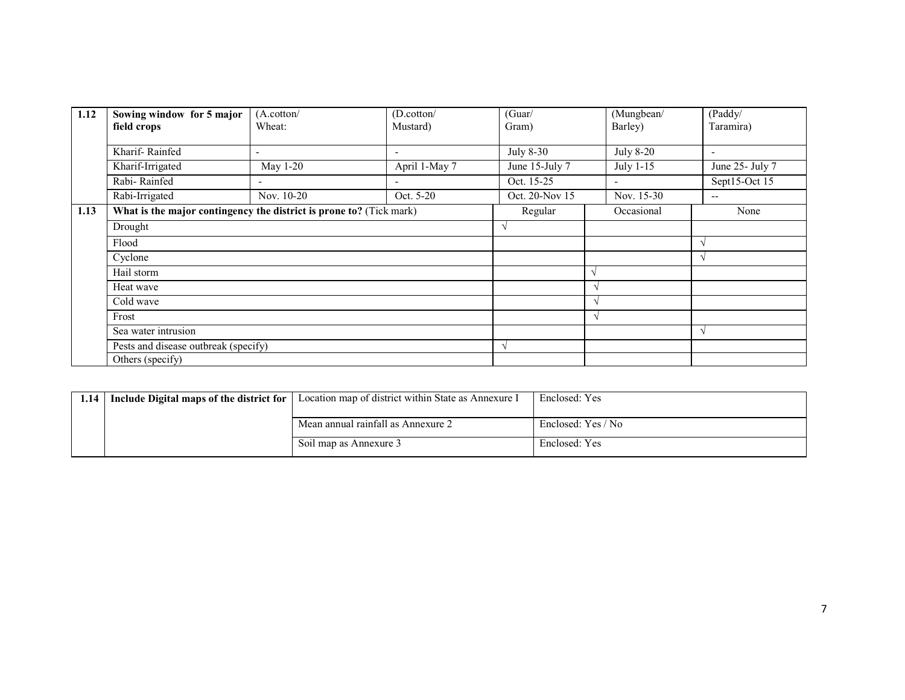| 1.12 | Sowing window for 5 major<br>field crops                            | (A.cottom/<br>Wheat:     | (D.cottom/<br>Mustard)   | (Guar/<br>Gram) | (Mungbean/<br>Barley)    | (Paddy/<br>Taramira)     |
|------|---------------------------------------------------------------------|--------------------------|--------------------------|-----------------|--------------------------|--------------------------|
|      | Kharif-Rainfed                                                      | ٠                        | $\overline{\phantom{a}}$ | July 8-30       | <b>July 8-20</b>         | $\overline{\phantom{a}}$ |
|      | Kharif-Irrigated                                                    | May 1-20                 | April 1-May 7            | June 15-July 7  | July 1-15                | June 25- July 7          |
|      | Rabi-Rainfed                                                        | $\overline{\phantom{a}}$ |                          | Oct. 15-25      | $\overline{\phantom{a}}$ | Sept15-Oct 15            |
|      | Rabi-Irrigated                                                      | Nov. 10-20               | Oct. 5-20                | Oct. 20-Nov 15  | Nov. 15-30               | $\overline{\phantom{m}}$ |
| 1.13 | What is the major contingency the district is prone to? (Tick mark) |                          |                          | Regular         | Occasional               | None                     |
|      | Drought                                                             |                          |                          | V               |                          |                          |
|      | Flood                                                               |                          |                          |                 |                          | $\lambda$                |
|      | Cyclone                                                             |                          |                          |                 |                          | $\mathcal{N}$            |
|      | Hail storm                                                          |                          |                          |                 |                          |                          |
|      | Heat wave                                                           |                          |                          |                 |                          |                          |
|      | Cold wave                                                           |                          |                          |                 |                          |                          |
|      | Frost                                                               |                          |                          |                 |                          |                          |
|      | Sea water intrusion                                                 |                          |                          |                 |                          | $\sqrt{ }$               |
|      | Pests and disease outbreak (specify)                                |                          |                          | $\gamma$        |                          |                          |
|      | Others (specify)                                                    |                          |                          |                 |                          |                          |

| 1.14 | Include Digital maps of the district for | Location map of district within State as Annexure I | Enclosed: Yes      |
|------|------------------------------------------|-----------------------------------------------------|--------------------|
|      |                                          | Mean annual rainfall as Annexure 2                  | Enclosed: Yes / No |
|      |                                          | Soil map as Annexure 3                              | Enclosed: Yes      |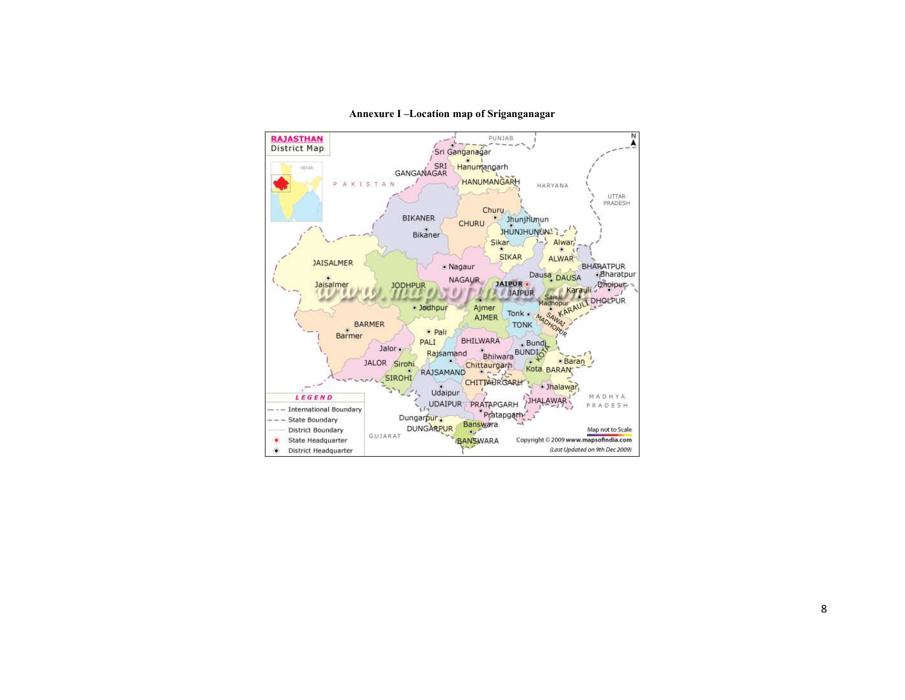

#### Annexure I –Location map of Sriganganagar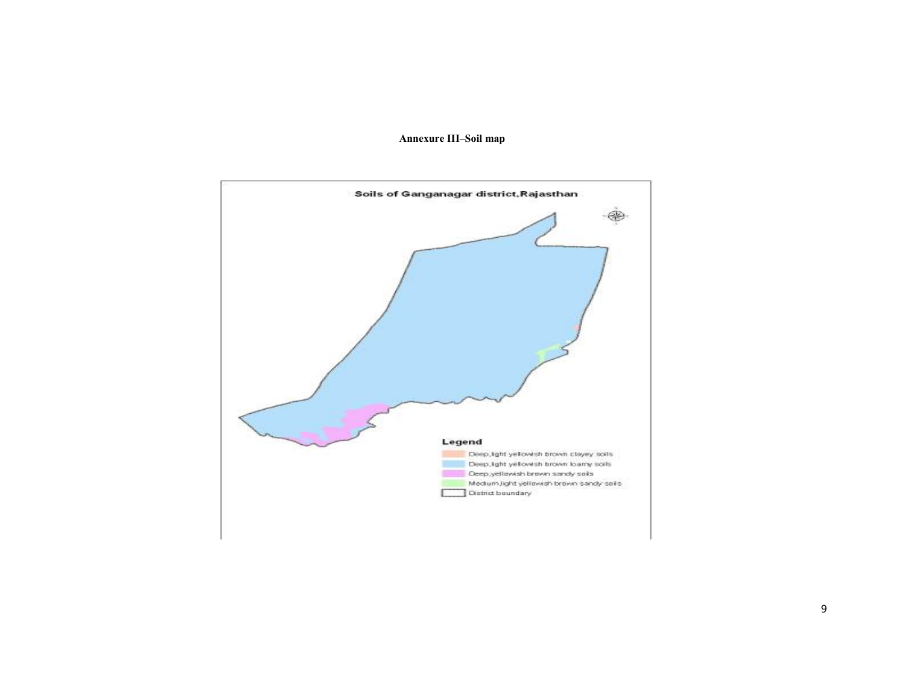### Annexure III–Soil map

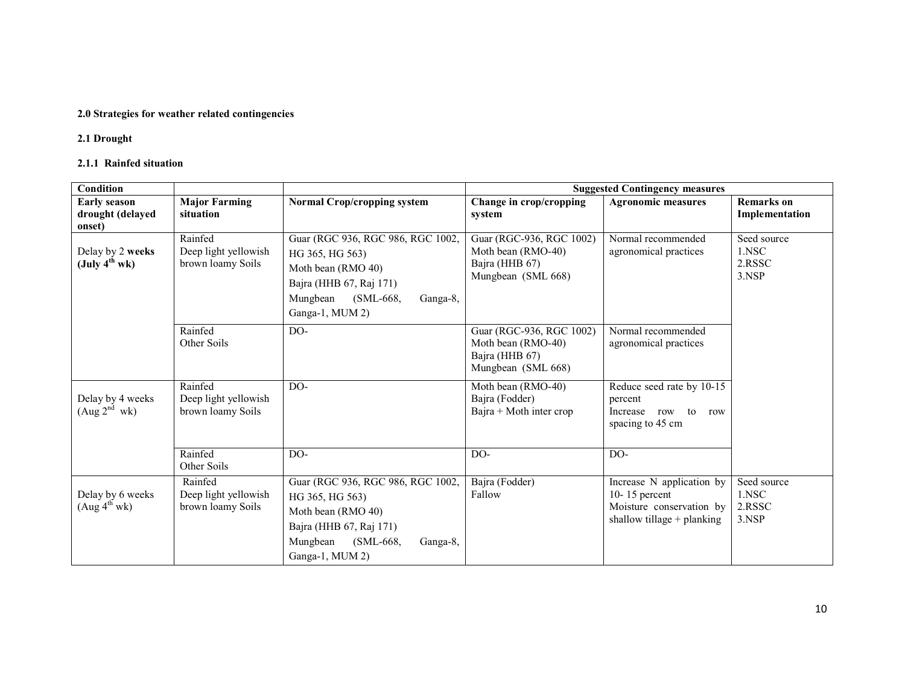## 2.0 Strategies for weather related contingencies

# 2.1 Drought

## 2.1.1 Rainfed situation

| Condition                                                     |                                                      |                                                                                                                                                                 | <b>Suggested Contingency measures</b>                                                  |                                                                                                          |                                         |  |
|---------------------------------------------------------------|------------------------------------------------------|-----------------------------------------------------------------------------------------------------------------------------------------------------------------|----------------------------------------------------------------------------------------|----------------------------------------------------------------------------------------------------------|-----------------------------------------|--|
| <b>Early season</b>                                           | <b>Major Farming</b><br>situation                    | <b>Normal Crop/cropping system</b>                                                                                                                              | Change in crop/cropping                                                                | <b>Agronomic measures</b>                                                                                | <b>Remarks</b> on                       |  |
| drought (delayed<br>onset)                                    |                                                      |                                                                                                                                                                 | system                                                                                 |                                                                                                          | Implementation                          |  |
| Delay by 2 weeks<br>$(\text{July } 4^{\text{th}} \text{ wk})$ | Rainfed<br>Deep light yellowish<br>brown loamy Soils | Guar (RGC 936, RGC 986, RGC 1002,<br>HG 365, HG 563)<br>Moth bean (RMO 40)<br>Bajra (HHB 67, Raj 171)<br>Mungbean<br>$(SML-668,$<br>Ganga-8,<br>Ganga-1, MUM 2) | Guar (RGC-936, RGC 1002)<br>Moth bean (RMO-40)<br>Bajra (HHB 67)<br>Mungbean (SML 668) | Normal recommended<br>agronomical practices                                                              | Seed source<br>1.NSC<br>2.RSSC<br>3.NSP |  |
|                                                               | Rainfed<br>Other Soils                               | $DO-$                                                                                                                                                           | Guar (RGC-936, RGC 1002)<br>Moth bean (RMO-40)<br>Bajra (HHB 67)<br>Mungbean (SML 668) | Normal recommended<br>agronomical practices                                                              |                                         |  |
| Delay by 4 weeks<br>(Aug 2 <sup>nd</sup> wk)                  | Rainfed<br>Deep light yellowish<br>brown loamy Soils | DO-                                                                                                                                                             | Moth bean (RMO-40)<br>Bajra (Fodder)<br>Bajra + Moth inter crop                        | Reduce seed rate by 10-15<br>percent<br>Increase row to<br>row<br>spacing to 45 cm                       |                                         |  |
|                                                               | Rainfed<br>Other Soils                               | DO-                                                                                                                                                             | DO-                                                                                    | DO-                                                                                                      |                                         |  |
| Delay by 6 weeks<br>(Aug 4 <sup>th</sup> wk)                  | Rainfed<br>Deep light yellowish<br>brown loamy Soils | Guar (RGC 936, RGC 986, RGC 1002,<br>HG 365, HG 563)<br>Moth bean (RMO 40)<br>Bajra (HHB 67, Raj 171)<br>(SML-668,<br>Mungbean<br>Ganga-8,<br>Ganga-1, MUM 2)   | Bajra (Fodder)<br>Fallow                                                               | Increase N application by<br>$10 - 15$ percent<br>Moisture conservation by<br>shallow tillage + planking | Seed source<br>1.NSC<br>2.RSSC<br>3.NSP |  |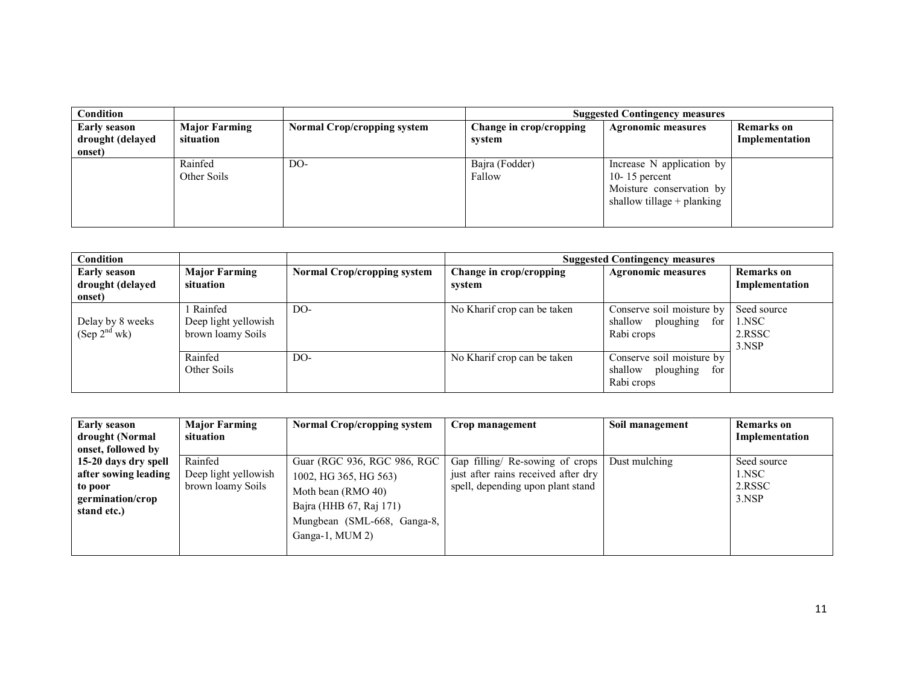| Condition                                         |                                   |                                    |                                   | <b>Suggested Contingency measures</b>                                                                  |                              |
|---------------------------------------------------|-----------------------------------|------------------------------------|-----------------------------------|--------------------------------------------------------------------------------------------------------|------------------------------|
| <b>Early season</b><br>drought (delayed<br>onset) | <b>Major Farming</b><br>situation | <b>Normal Crop/cropping system</b> | Change in crop/cropping<br>svstem | <b>Agronomic measures</b>                                                                              | Remarks on<br>Implementation |
|                                                   | Rainfed<br>Other Soils            | DO-                                | Bajra (Fodder)<br>Fallow          | Increase N application by<br>10-15 percent<br>Moisture conservation by<br>shallow tillage $+$ planking |                              |

| <b>Condition</b>                                  |                                                      |                                    |                                   | <b>Suggested Contingency measures</b>                                  |                                         |
|---------------------------------------------------|------------------------------------------------------|------------------------------------|-----------------------------------|------------------------------------------------------------------------|-----------------------------------------|
| <b>Early season</b><br>drought (delayed<br>onset) | <b>Major Farming</b><br>situation                    | <b>Normal Crop/cropping system</b> | Change in crop/cropping<br>system | <b>Agronomic measures</b>                                              | <b>Remarks</b> on<br>Implementation     |
| Delay by 8 weeks<br>(Sep 2 <sup>nd</sup> wk)      | Rainfed<br>Deep light yellowish<br>brown loamy Soils | $DO-$                              | No Kharif crop can be taken       | Conserve soil moisture by<br>shallow<br>ploughing<br>for<br>Rabi crops | Seed source<br>1.NSC<br>2.RSSC<br>3.NSP |
|                                                   | Rainfed<br>Other Soils                               | DO-                                | No Kharif crop can be taken       | Conserve soil moisture by<br>shallow<br>ploughing<br>for<br>Rabi crops |                                         |

| <b>Early season</b><br>drought (Normal<br>onset, followed by                               | <b>Major Farming</b><br>situation                    | <b>Normal Crop/cropping system</b>                                                                                                                      | Crop management                                                                                             | Soil management | <b>Remarks</b> on<br>Implementation     |
|--------------------------------------------------------------------------------------------|------------------------------------------------------|---------------------------------------------------------------------------------------------------------------------------------------------------------|-------------------------------------------------------------------------------------------------------------|-----------------|-----------------------------------------|
| 15-20 days dry spell<br>after sowing leading<br>to poor<br>germination/crop<br>stand etc.) | Rainfed<br>Deep light yellowish<br>brown loamy Soils | Guar (RGC 936, RGC 986, RGC<br>1002, HG 365, HG 563)<br>Moth bean (RMO 40)<br>Bajra (HHB 67, Raj 171)<br>Mungbean (SML-668, Ganga-8,<br>Ganga-1, MUM 2) | Gap filling/ Re-sowing of crops<br>just after rains received after dry<br>spell, depending upon plant stand | Dust mulching   | Seed source<br>1.NSC<br>2.RSSC<br>3.NSP |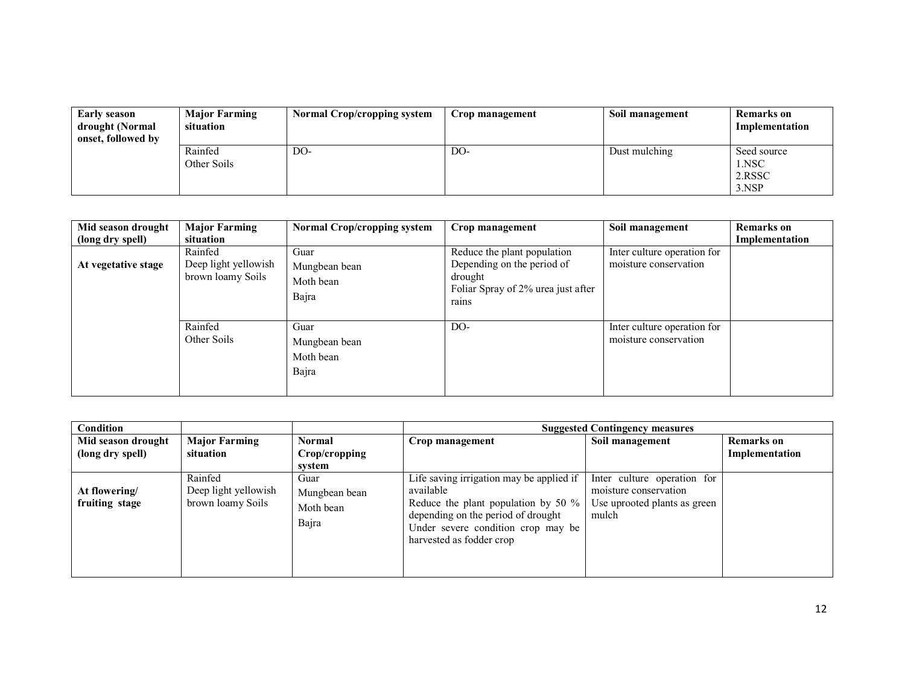| <b>Early season</b><br>drought (Normal<br>onset, followed by | <b>Major Farming</b><br>situation | <b>Normal Crop/cropping system</b> | Crop management | Soil management | Remarks on<br>Implementation            |
|--------------------------------------------------------------|-----------------------------------|------------------------------------|-----------------|-----------------|-----------------------------------------|
|                                                              | Rainfed<br>Other Soils            | DO-                                | DO-             | Dust mulching   | Seed source<br>1.NSC<br>2.RSSC<br>3.NSP |

| Mid season drought<br>(long dry spell) | <b>Major Farming</b><br>situation                    | <b>Normal Crop/cropping system</b>          | Crop management                                                                                                     | Soil management                                      | <b>Remarks</b> on<br>Implementation |
|----------------------------------------|------------------------------------------------------|---------------------------------------------|---------------------------------------------------------------------------------------------------------------------|------------------------------------------------------|-------------------------------------|
| At vegetative stage                    | Rainfed<br>Deep light yellowish<br>brown loamy Soils | Guar<br>Mungbean bean<br>Moth bean<br>Bajra | Reduce the plant population<br>Depending on the period of<br>drought<br>Foliar Spray of 2% urea just after<br>rains | Inter culture operation for<br>moisture conservation |                                     |
|                                        | Rainfed<br>Other Soils                               | Guar<br>Mungbean bean<br>Moth bean<br>Bajra | DO-                                                                                                                 | Inter culture operation for<br>moisture conservation |                                     |

| Condition                              |                                                      |                                             |                                                                                                                                                                                                         | <b>Suggested Contingency measures</b>                                                         |                                     |
|----------------------------------------|------------------------------------------------------|---------------------------------------------|---------------------------------------------------------------------------------------------------------------------------------------------------------------------------------------------------------|-----------------------------------------------------------------------------------------------|-------------------------------------|
| Mid season drought<br>(long dry spell) | <b>Major Farming</b><br>situation                    | <b>Normal</b><br>Crop/cropping<br>svstem    | Crop management                                                                                                                                                                                         | Soil management                                                                               | <b>Remarks</b> on<br>Implementation |
| At flowering/<br>fruiting stage        | Rainfed<br>Deep light yellowish<br>brown loamy Soils | Guar<br>Mungbean bean<br>Moth bean<br>Bajra | Life saving irrigation may be applied if<br>available<br>Reduce the plant population by 50 $\%$<br>depending on the period of drought<br>Under severe condition crop may be<br>harvested as fodder crop | Inter culture operation for<br>moisture conservation<br>Use uprooted plants as green<br>mulch |                                     |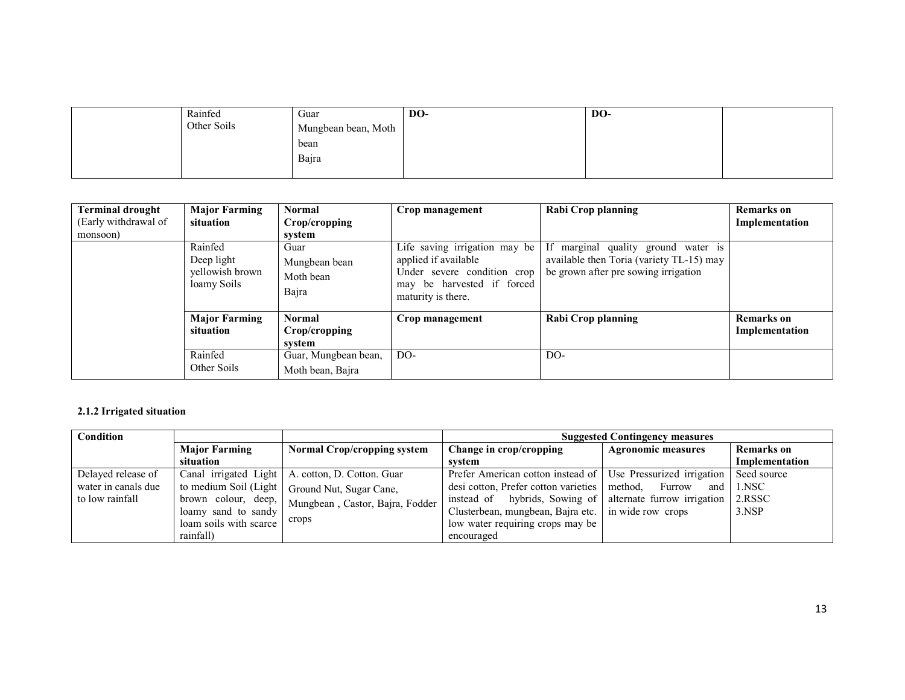| Rainfed     | Guar                | DO- | DO- |  |
|-------------|---------------------|-----|-----|--|
| Other Soils | Mungbean bean, Moth |     |     |  |
|             | bean                |     |     |  |
|             | Bajra               |     |     |  |
|             |                     |     |     |  |

| <b>Terminal drought</b><br>(Early withdrawal of<br>monsoon) | <b>Major Farming</b><br>situation                       | <b>Normal</b><br>Crop/cropping<br>system    | Crop management                                                                                                                          | Rabi Crop planning                                                                                                      | Remarks on<br>Implementation        |
|-------------------------------------------------------------|---------------------------------------------------------|---------------------------------------------|------------------------------------------------------------------------------------------------------------------------------------------|-------------------------------------------------------------------------------------------------------------------------|-------------------------------------|
|                                                             | Rainfed<br>Deep light<br>yellowish brown<br>loamy Soils | Guar<br>Mungbean bean<br>Moth bean<br>Bajra | Life saving irrigation may be<br>applied if available<br>Under severe condition crop<br>may be harvested if forced<br>maturity is there. | If marginal quality ground water is<br>available then Toria (variety TL-15) may<br>be grown after pre sowing irrigation |                                     |
|                                                             | <b>Major Farming</b><br>situation                       | <b>Normal</b><br>Crop/cropping<br>system    | Crop management                                                                                                                          | Rabi Crop planning                                                                                                      | <b>Remarks</b> on<br>Implementation |
|                                                             | Rainfed<br>Other Soils                                  | Guar, Mungbean bean,<br>Moth bean, Bajra    | DO-                                                                                                                                      | DO-                                                                                                                     |                                     |

## 2.1.2 Irrigated situation

| Condition                                                    |                                                                                              |                                                                                          | <b>Suggested Contingency measures</b>                                                                                                                                      |                                                                              |                                            |  |
|--------------------------------------------------------------|----------------------------------------------------------------------------------------------|------------------------------------------------------------------------------------------|----------------------------------------------------------------------------------------------------------------------------------------------------------------------------|------------------------------------------------------------------------------|--------------------------------------------|--|
|                                                              | <b>Major Farming</b><br>Normal Crop/cropping system                                          |                                                                                          | Change in crop/cropping                                                                                                                                                    | <b>Agronomic measures</b>                                                    | Remarks on                                 |  |
|                                                              | situation                                                                                    |                                                                                          | svstem                                                                                                                                                                     |                                                                              | Implementation                             |  |
| Delayed release of<br>water in canals due<br>to low rainfall | Canal irrigated Light<br>to medium Soil (Light<br>brown colour, deep,<br>loamy sand to sandy | A. cotton, D. Cotton. Guar<br>Ground Nut, Sugar Cane,<br>Mungbean, Castor, Bajra, Fodder | Prefer American cotton instead of Use Pressurized irrigation<br>desi cotton, Prefer cotton varieties<br>instead of hybrids, Sowing of<br>Clusterbean, mungbean, Bajra etc. | method,<br>Furrow<br>and<br>alternate furrow irrigation<br>in wide row crops | Seed source<br>$1$ .NSC<br>2.RSSC<br>3.NSP |  |
|                                                              | loam soils with scarce<br>rainfall)                                                          | crops                                                                                    | low water requiring crops may be<br>encouraged                                                                                                                             |                                                                              |                                            |  |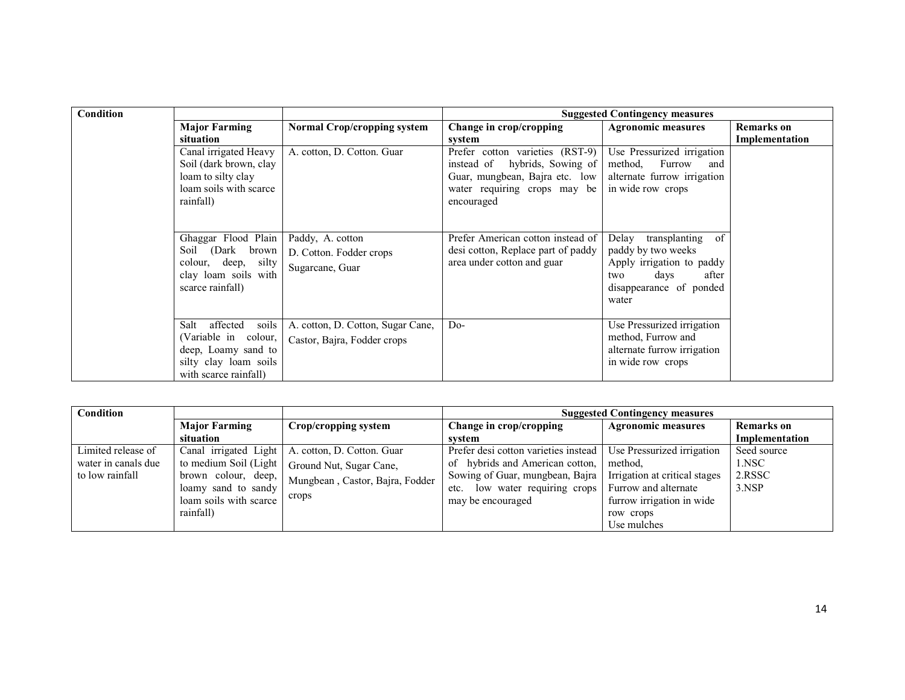| Condition |                                                                                                                            |                                                                  |                                                                                                                                                     | <b>Suggested Contingency measures</b>                                                                                                       |                   |  |
|-----------|----------------------------------------------------------------------------------------------------------------------------|------------------------------------------------------------------|-----------------------------------------------------------------------------------------------------------------------------------------------------|---------------------------------------------------------------------------------------------------------------------------------------------|-------------------|--|
|           | <b>Major Farming</b>                                                                                                       | <b>Normal Crop/cropping system</b>                               | Change in crop/cropping                                                                                                                             | <b>Agronomic measures</b>                                                                                                                   | <b>Remarks</b> on |  |
|           | situation                                                                                                                  |                                                                  | system                                                                                                                                              |                                                                                                                                             | Implementation    |  |
|           | Canal irrigated Heavy<br>Soil (dark brown, clay<br>loam to silty clay<br>loam soils with scarce<br>rainfall)               | A. cotton, D. Cotton. Guar                                       | Prefer cotton varieties (RST-9)<br>instead of<br>hybrids, Sowing of<br>Guar, mungbean, Bajra etc. low<br>water requiring crops may be<br>encouraged | Use Pressurized irrigation<br>method,<br>Furrow<br>and<br>alternate furrow irrigation<br>in wide row crops                                  |                   |  |
|           | Ghaggar Flood Plain<br>Soil (Dark brown<br>colour, deep, silty<br>clay loam soils with<br>scarce rainfall)                 | Paddy, A. cotton<br>D. Cotton. Fodder crops<br>Sugarcane, Guar   | Prefer American cotton instead of<br>desi cotton, Replace part of paddy<br>area under cotton and guar                                               | Delay<br>transplanting<br>of<br>paddy by two weeks<br>Apply irrigation to paddy<br>after<br>days<br>two<br>disappearance of ponded<br>water |                   |  |
|           | affected<br>Salt<br>soils<br>(Variable in colour,<br>deep, Loamy sand to<br>silty clay loam soils<br>with scarce rainfall) | A. cotton, D. Cotton, Sugar Cane,<br>Castor, Bajra, Fodder crops | $Do-$                                                                                                                                               | Use Pressurized irrigation<br>method, Furrow and<br>alternate furrow irrigation<br>in wide row crops                                        |                   |  |

| Condition           |                                               |                                                    | <b>Suggested Contingency measures</b> |                               |                |  |
|---------------------|-----------------------------------------------|----------------------------------------------------|---------------------------------------|-------------------------------|----------------|--|
|                     | <b>Major Farming</b>                          | Crop/cropping system                               | Change in crop/cropping               | <b>Agronomic measures</b>     | Remarks on     |  |
|                     | situation                                     |                                                    | system                                |                               | Implementation |  |
| Limited release of  |                                               | Canal irrigated Light   A. cotton, D. Cotton. Guar | Prefer desi cotton varieties instead  | Use Pressurized irrigation    | Seed source    |  |
| water in canals due | to medium Soil (Light                         | Ground Nut, Sugar Cane,                            | of hybrids and American cotton,       | method.                       | 1.NSC          |  |
| to low rainfall     | brown colour, deep,                           | Mungbean, Castor, Bajra, Fodder                    | Sowing of Guar, mungbean, Bajra       | Irrigation at critical stages | 2.RSSC         |  |
|                     | loamy sand to sandy<br>loam soils with scarce | crops                                              | low water requiring crops<br>etc.     | Furrow and alternate          | 3.NSP          |  |
|                     |                                               |                                                    | may be encouraged                     | furrow irrigation in wide     |                |  |
|                     | rainfall)                                     |                                                    |                                       | row crops                     |                |  |
|                     |                                               |                                                    |                                       | Use mulches                   |                |  |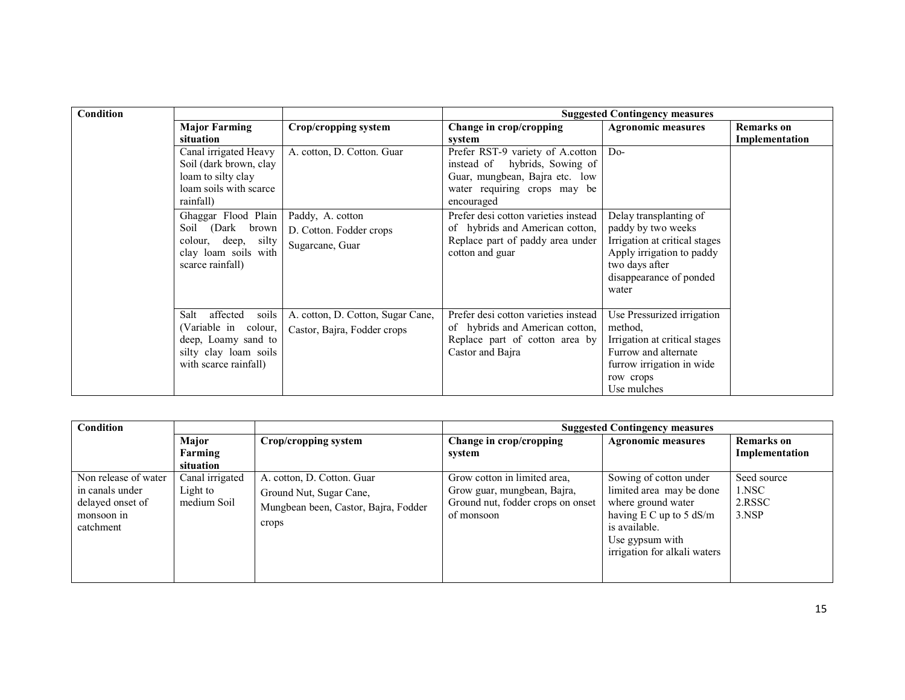| Condition |                           |                                   | <b>Suggested Contingency measures</b> |                               |                   |
|-----------|---------------------------|-----------------------------------|---------------------------------------|-------------------------------|-------------------|
|           | <b>Major Farming</b>      | Crop/cropping system              | Change in crop/cropping               | <b>Agronomic measures</b>     | <b>Remarks</b> on |
|           | situation                 |                                   | system                                |                               | Implementation    |
|           | Canal irrigated Heavy     | A. cotton, D. Cotton. Guar        | Prefer RST-9 variety of A.cotton      | $Do-$                         |                   |
|           | Soil (dark brown, clay    |                                   | instead of hybrids, Sowing of         |                               |                   |
|           | loam to silty clay        |                                   | Guar, mungbean, Bajra etc. low        |                               |                   |
|           | loam soils with scarce    |                                   | water requiring crops may be          |                               |                   |
|           | rainfall)                 |                                   | encouraged                            |                               |                   |
|           | Ghaggar Flood Plain       | Paddy, A. cotton                  | Prefer desi cotton varieties instead  | Delay transplanting of        |                   |
|           | Soil (Dark<br>brown       | D. Cotton. Fodder crops           | of hybrids and American cotton,       | paddy by two weeks            |                   |
|           | colour, deep, silty       | Sugarcane, Guar                   | Replace part of paddy area under      | Irrigation at critical stages |                   |
|           | clay loam soils with      |                                   | cotton and guar                       | Apply irrigation to paddy     |                   |
|           | scarce rainfall)          |                                   |                                       | two days after                |                   |
|           |                           |                                   |                                       | disappearance of ponded       |                   |
|           |                           |                                   |                                       | water                         |                   |
|           |                           |                                   |                                       |                               |                   |
|           | affected<br>Salt<br>soils | A. cotton, D. Cotton, Sugar Cane, | Prefer desi cotton varieties instead  | Use Pressurized irrigation    |                   |
|           | (Variable in colour,      | Castor, Bajra, Fodder crops       | of hybrids and American cotton,       | method.                       |                   |
|           | deep, Loamy sand to       |                                   | Replace part of cotton area by        | Irrigation at critical stages |                   |
|           | silty clay loam soils     |                                   | Castor and Bajra                      | Furrow and alternate          |                   |
|           | with scarce rainfall)     |                                   |                                       | furrow irrigation in wide     |                   |
|           |                           |                                   |                                       | row crops                     |                   |
|           |                           |                                   |                                       | Use mulches                   |                   |

| <b>Condition</b>                                                                       |                                            |                                                                                                        | <b>Suggested Contingency measures</b>                                                                          |                                                                                                                                                                           |                                         |  |
|----------------------------------------------------------------------------------------|--------------------------------------------|--------------------------------------------------------------------------------------------------------|----------------------------------------------------------------------------------------------------------------|---------------------------------------------------------------------------------------------------------------------------------------------------------------------------|-----------------------------------------|--|
|                                                                                        | Major<br>Farming<br>situation              | Crop/cropping system                                                                                   | Change in crop/cropping<br>system                                                                              | <b>Agronomic measures</b>                                                                                                                                                 | <b>Remarks</b> on<br>Implementation     |  |
| Non release of water<br>in canals under<br>delayed onset of<br>monsoon in<br>catchment | Canal irrigated<br>Light to<br>medium Soil | A. cotton, D. Cotton. Guar<br>Ground Nut, Sugar Cane,<br>Mungbean been, Castor, Bajra, Fodder<br>crops | Grow cotton in limited area,<br>Grow guar, mungbean, Bajra,<br>Ground nut, fodder crops on onset<br>of monsoon | Sowing of cotton under<br>limited area may be done<br>where ground water<br>having $E C$ up to 5 dS/m<br>is available.<br>Use gypsum with<br>irrigation for alkali waters | Seed source<br>1.NSC<br>2.RSSC<br>3.NSP |  |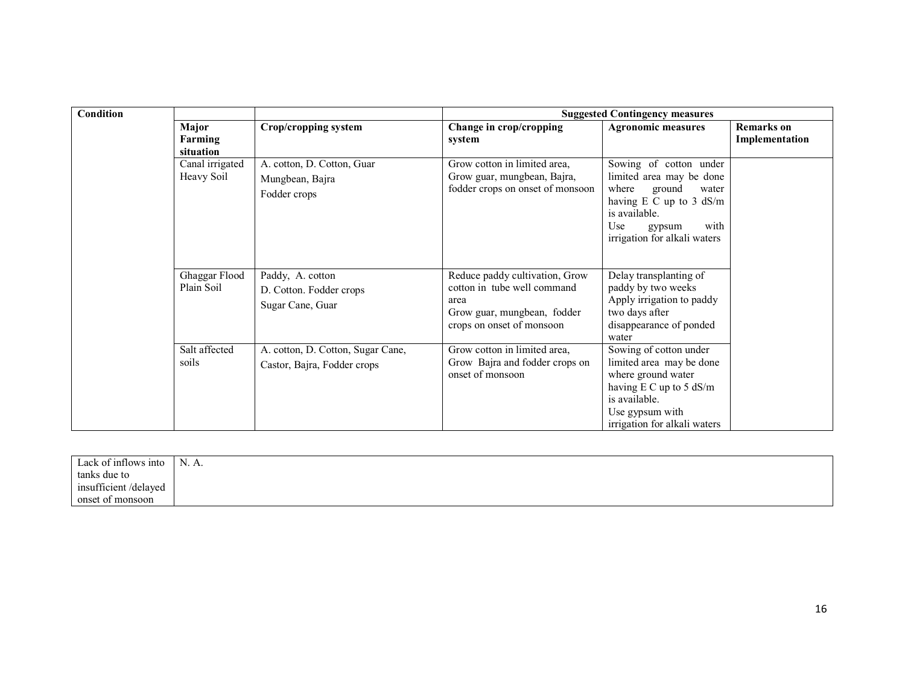| Condition | <b>Suggested Contingency measures</b> |                                                                  |                                                                                                                                   |                                                                                                                                                                                       |                                     |  |
|-----------|---------------------------------------|------------------------------------------------------------------|-----------------------------------------------------------------------------------------------------------------------------------|---------------------------------------------------------------------------------------------------------------------------------------------------------------------------------------|-------------------------------------|--|
|           | Major<br>Farming<br>situation         | Crop/cropping system                                             | Change in crop/cropping<br>system                                                                                                 | <b>Agronomic measures</b>                                                                                                                                                             | <b>Remarks</b> on<br>Implementation |  |
|           | Canal irrigated<br>Heavy Soil         | A. cotton, D. Cotton, Guar<br>Mungbean, Bajra<br>Fodder crops    | Grow cotton in limited area,<br>Grow guar, mungbean, Bajra,<br>fodder crops on onset of monsoon                                   | Sowing of cotton under<br>limited area may be done<br>ground<br>where<br>water<br>having $E C$ up to 3 dS/m<br>is available.<br>Use<br>with<br>gypsum<br>irrigation for alkali waters |                                     |  |
|           | Ghaggar Flood<br>Plain Soil           | Paddy, A. cotton<br>D. Cotton. Fodder crops<br>Sugar Cane, Guar  | Reduce paddy cultivation, Grow<br>cotton in tube well command<br>area<br>Grow guar, mungbean, fodder<br>crops on onset of monsoon | Delay transplanting of<br>paddy by two weeks<br>Apply irrigation to paddy<br>two days after<br>disappearance of ponded<br>water                                                       |                                     |  |
|           | Salt affected<br>soils                | A. cotton, D. Cotton, Sugar Cane,<br>Castor, Bajra, Fodder crops | Grow cotton in limited area,<br>Grow Bajra and fodder crops on<br>onset of monsoon                                                | Sowing of cotton under<br>limited area may be done<br>where ground water<br>having $E C$ up to 5 dS/m<br>is available.<br>Use gypsum with<br>irrigation for alkali waters             |                                     |  |

| Lack of inflows into | N. A. |  |
|----------------------|-------|--|
| tanks due to         |       |  |
| insufficient/delayed |       |  |
| onset of monsoon     |       |  |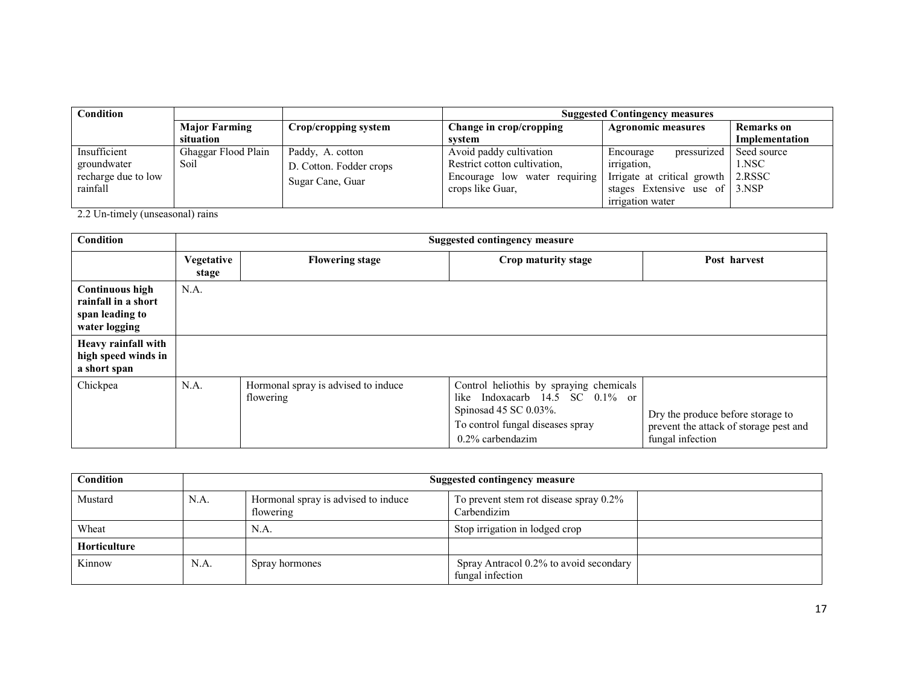| Condition                                                      |                             |                                                                 | <b>Suggested Contingency measures</b>                                                                        |                                                                                                                                                   |                      |  |
|----------------------------------------------------------------|-----------------------------|-----------------------------------------------------------------|--------------------------------------------------------------------------------------------------------------|---------------------------------------------------------------------------------------------------------------------------------------------------|----------------------|--|
|                                                                | <b>Major Farming</b>        | Crop/cropping system                                            | Change in crop/cropping                                                                                      | <b>Agronomic measures</b>                                                                                                                         | <b>Remarks</b> on    |  |
|                                                                | situation                   |                                                                 | svstem                                                                                                       |                                                                                                                                                   | Implementation       |  |
| Insufficient<br>groundwater<br>recharge due to low<br>rainfall | Ghaggar Flood Plain<br>Soil | Paddy, A. cotton<br>D. Cotton. Fodder crops<br>Sugar Cane, Guar | Avoid paddy cultivation<br>Restrict cotton cultivation,<br>Encourage low water requiring<br>crops like Guar. | pressurized<br>Encourage<br><i>irrigation.</i><br>Irrigate at critical growth 2.RSSC<br>stages Extensive use of $\vert$ 3.NSP<br>irrigation water | Seed source<br>1.NSC |  |

2.2 Un-timely (unseasonal) rains

| Condition                                                                         | <b>Suggested contingency measure</b> |                                                  |                                                                                                                                                                   |                                                                                                 |  |
|-----------------------------------------------------------------------------------|--------------------------------------|--------------------------------------------------|-------------------------------------------------------------------------------------------------------------------------------------------------------------------|-------------------------------------------------------------------------------------------------|--|
|                                                                                   | Vegetative<br>stage                  | <b>Flowering stage</b>                           | Crop maturity stage                                                                                                                                               | Post harvest                                                                                    |  |
| <b>Continuous high</b><br>rainfall in a short<br>span leading to<br>water logging | N.A.                                 |                                                  |                                                                                                                                                                   |                                                                                                 |  |
| Heavy rainfall with<br>high speed winds in<br>a short span                        |                                      |                                                  |                                                                                                                                                                   |                                                                                                 |  |
| Chickpea                                                                          | N.A.                                 | Hormonal spray is advised to induce<br>flowering | Control heliothis by spraying chemicals<br>Indoxacarb 14.5 SC 0.1% or<br>like<br>Spinosad 45 SC 0.03%.<br>To control fungal diseases spray<br>$0.2\%$ carbendazim | Dry the produce before storage to<br>prevent the attack of storage pest and<br>fungal infection |  |

| <b>Condition</b>    |      | Suggested contingency measure                    |                                                            |  |  |  |
|---------------------|------|--------------------------------------------------|------------------------------------------------------------|--|--|--|
| Mustard             | N.A. | Hormonal spray is advised to induce<br>flowering | To prevent stem rot disease spray 0.2%<br>Carbendizim      |  |  |  |
| Wheat               |      | N.A.                                             | Stop irrigation in lodged crop                             |  |  |  |
| <b>Horticulture</b> |      |                                                  |                                                            |  |  |  |
| Kinnow              | N.A. | Spray hormones                                   | Spray Antracol 0.2% to avoid secondary<br>fungal infection |  |  |  |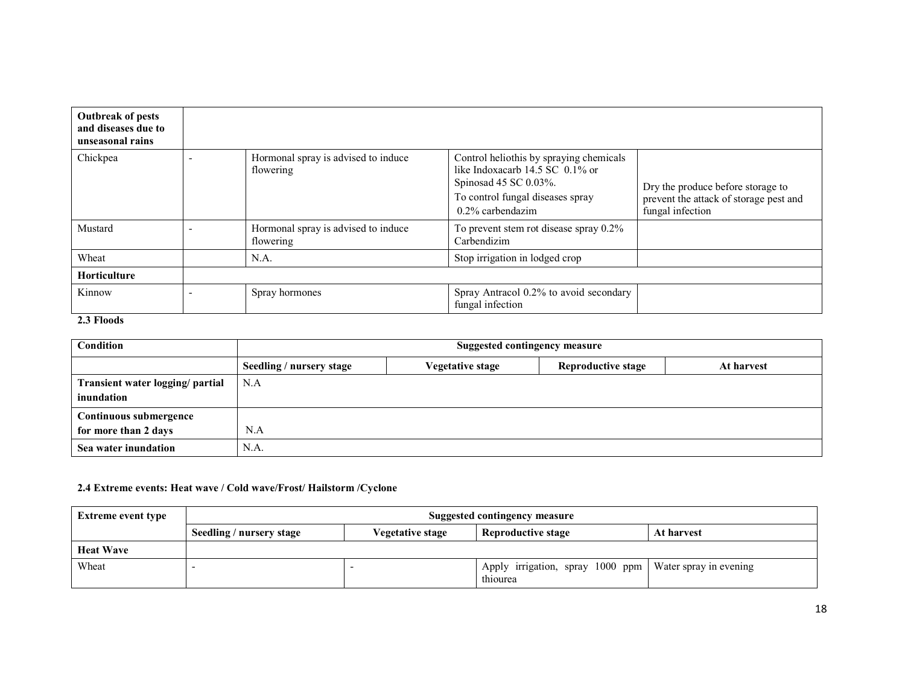| <b>Outbreak of pests</b><br>and diseases due to<br>unseasonal rains |                                                  |                                                                                                                                                                  |                                                                                                 |
|---------------------------------------------------------------------|--------------------------------------------------|------------------------------------------------------------------------------------------------------------------------------------------------------------------|-------------------------------------------------------------------------------------------------|
| Chickpea                                                            | Hormonal spray is advised to induce<br>flowering | Control heliothis by spraying chemicals<br>like Indoxacarb 14.5 SC 0.1% or<br>Spinosad $45$ SC 0.03%.<br>To control fungal diseases spray<br>$0.2\%$ carbendazim | Dry the produce before storage to<br>prevent the attack of storage pest and<br>fungal infection |
| Mustard                                                             | Hormonal spray is advised to induce<br>flowering | To prevent stem rot disease spray 0.2%<br>Carbendizim                                                                                                            |                                                                                                 |
| Wheat                                                               | N.A.                                             | Stop irrigation in lodged crop                                                                                                                                   |                                                                                                 |
| Horticulture                                                        |                                                  |                                                                                                                                                                  |                                                                                                 |
| Kinnow                                                              | Spray hormones                                   | Spray Antracol 0.2% to avoid secondary<br>fungal infection                                                                                                       |                                                                                                 |

### 2.3 Floods

| Condition                                      | Suggested contingency measure |                  |                    |            |  |  |
|------------------------------------------------|-------------------------------|------------------|--------------------|------------|--|--|
|                                                | Seedling / nursery stage      | Vegetative stage | Reproductive stage | At harvest |  |  |
| Transient water logging/ partial<br>inundation | N.A                           |                  |                    |            |  |  |
| Continuous submergence                         |                               |                  |                    |            |  |  |
| for more than 2 days                           | N.A                           |                  |                    |            |  |  |
| Sea water inundation                           | N.A.                          |                  |                    |            |  |  |

# 2.4 Extreme events: Heat wave / Cold wave/Frost/ Hailstorm /Cyclone

| Extreme event type | <b>Suggested contingency measure</b>                                             |  |                                                                       |  |  |
|--------------------|----------------------------------------------------------------------------------|--|-----------------------------------------------------------------------|--|--|
|                    | Seedling / nursery stage<br>Reproductive stage<br>Vegetative stage<br>At harvest |  |                                                                       |  |  |
| <b>Heat Wave</b>   |                                                                                  |  |                                                                       |  |  |
| Wheat              |                                                                                  |  | Apply irrigation, spray 1000 ppm   Water spray in evening<br>thiourea |  |  |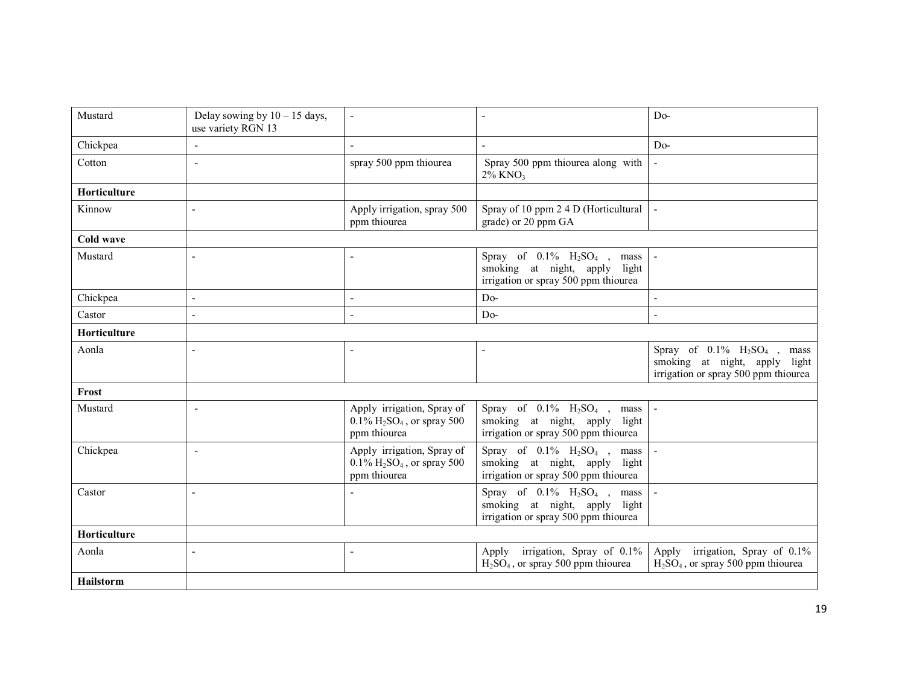| Mustard      | Delay sowing by $10 - 15$ days,<br>use variety RGN 13 | $\overline{a}$                                                                                      |                                                                                                                                 | $Do-$                                                                                                      |
|--------------|-------------------------------------------------------|-----------------------------------------------------------------------------------------------------|---------------------------------------------------------------------------------------------------------------------------------|------------------------------------------------------------------------------------------------------------|
| Chickpea     | $\blacksquare$                                        | $\overline{a}$                                                                                      |                                                                                                                                 | $Do-$                                                                                                      |
| Cotton       | ÷,                                                    | spray 500 ppm thiourea                                                                              | Spray 500 ppm thiourea along with<br>$2\%$ KNO <sub>3</sub>                                                                     |                                                                                                            |
| Horticulture |                                                       |                                                                                                     |                                                                                                                                 |                                                                                                            |
| Kinnow       |                                                       | Apply irrigation, spray 500<br>ppm thiourea                                                         | Spray of 10 ppm 2 4 D (Horticultural<br>grade) or 20 ppm GA                                                                     |                                                                                                            |
| Cold wave    |                                                       |                                                                                                     |                                                                                                                                 |                                                                                                            |
| Mustard      |                                                       | L,                                                                                                  | Spray of $0.1\%$ H <sub>2</sub> SO <sub>4</sub> , mass<br>smoking at night, apply light<br>irrigation or spray 500 ppm thiourea |                                                                                                            |
| Chickpea     |                                                       | $\blacksquare$                                                                                      | $Do-$                                                                                                                           |                                                                                                            |
| Castor       | L                                                     | $\blacksquare$                                                                                      | $Do-$                                                                                                                           | ÷,                                                                                                         |
| Horticulture |                                                       |                                                                                                     |                                                                                                                                 |                                                                                                            |
| Aonla        |                                                       | Ē,                                                                                                  |                                                                                                                                 | Spray of $0.1\%$ $H_2SO_4$ , mass<br>smoking at night, apply light<br>irrigation or spray 500 ppm thiourea |
| Frost        |                                                       |                                                                                                     |                                                                                                                                 |                                                                                                            |
| Mustard      | $\overline{\phantom{a}}$                              | Apply irrigation, Spray of<br>$0.1\%$ H <sub>2</sub> SO <sub>4</sub> , or spray 500<br>ppm thiourea | Spray of $0.1\%$ $H_2SO_4$ , mass<br>smoking at night, apply light<br>irrigation or spray 500 ppm thiourea                      |                                                                                                            |
| Chickpea     | $\blacksquare$                                        | Apply irrigation, Spray of<br>$0.1\%$ H <sub>2</sub> SO <sub>4</sub> , or spray 500<br>ppm thiourea | Spray of $0.1\%$ $H_2SO_4$ ,<br>mass<br>smoking at night, apply light<br>irrigation or spray 500 ppm thiourea                   |                                                                                                            |
| Castor       | L                                                     |                                                                                                     | Spray of $0.1\%$ $H_2SO_4$ , mass<br>smoking at night, apply light<br>irrigation or spray 500 ppm thiourea                      |                                                                                                            |
| Horticulture |                                                       |                                                                                                     |                                                                                                                                 |                                                                                                            |
| Aonla        | $\overline{a}$                                        | $\overline{\phantom{a}}$                                                                            | Apply irrigation, Spray of 0.1%<br>$H2SO4$ , or spray 500 ppm thiourea                                                          | Apply irrigation, Spray of 0.1%<br>$H2SO4$ , or spray 500 ppm thiourea                                     |
| Hailstorm    |                                                       |                                                                                                     |                                                                                                                                 |                                                                                                            |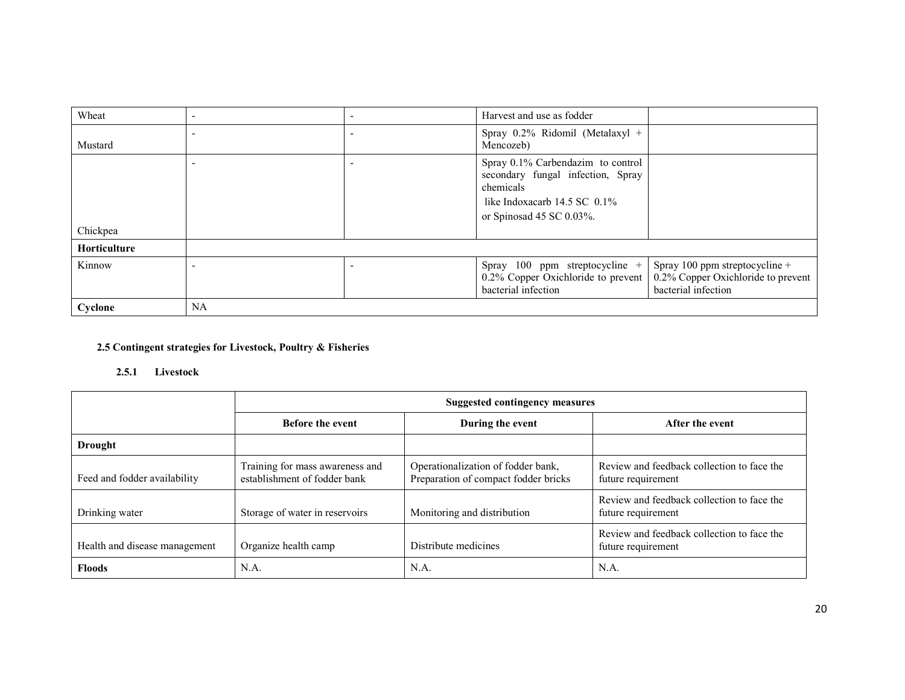|                     |  | 0.2% Copper Oxichloride to prevent<br>bacterial infection              | 0.2% Copper Oxichloride to prevent<br>bacterial infection |
|---------------------|--|------------------------------------------------------------------------|-----------------------------------------------------------|
| Kinnow              |  | Spray 100 ppm streptocycline $+$                                       | Spray 100 ppm streptocycline +                            |
| <b>Horticulture</b> |  |                                                                        |                                                           |
| Chickpea            |  |                                                                        |                                                           |
|                     |  | or Spinosad 45 SC 0.03%.                                               |                                                           |
|                     |  | like Indoxacarb $14.5$ SC $0.1\%$                                      |                                                           |
|                     |  | chemicals                                                              |                                                           |
|                     |  | Spray 0.1% Carbendazim to control<br>secondary fungal infection, Spray |                                                           |
|                     |  |                                                                        |                                                           |
| Mustard             |  | Spray 0.2% Ridomil (Metalaxyl +<br>Mencozeb)                           |                                                           |
|                     |  |                                                                        |                                                           |
| Wheat               |  | Harvest and use as fodder                                              |                                                           |

# 2.5 Contingent strategies for Livestock, Poultry & Fisheries

# 2.5.1 Livestock

|                               | <b>Suggested contingency measures</b>                           |                                                                            |                                                                  |  |
|-------------------------------|-----------------------------------------------------------------|----------------------------------------------------------------------------|------------------------------------------------------------------|--|
|                               | <b>Before the event</b>                                         | During the event                                                           | After the event                                                  |  |
| <b>Drought</b>                |                                                                 |                                                                            |                                                                  |  |
| Feed and fodder availability  | Training for mass awareness and<br>establishment of fodder bank | Operationalization of fodder bank,<br>Preparation of compact fodder bricks | Review and feedback collection to face the<br>future requirement |  |
| Drinking water                | Storage of water in reservoirs                                  | Monitoring and distribution                                                | Review and feedback collection to face the<br>future requirement |  |
| Health and disease management | Organize health camp                                            | Distribute medicines                                                       | Review and feedback collection to face the<br>future requirement |  |
| <b>Floods</b>                 | N.A.                                                            | N.A.                                                                       | N.A.                                                             |  |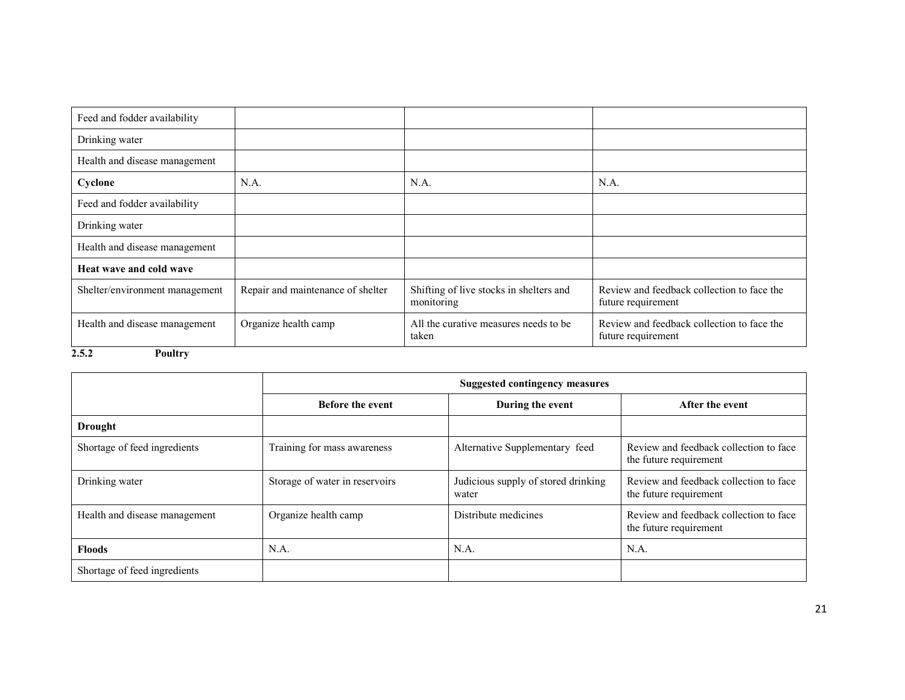| Feed and fodder availability   |                                   |                                                       |                                                                  |
|--------------------------------|-----------------------------------|-------------------------------------------------------|------------------------------------------------------------------|
| Drinking water                 |                                   |                                                       |                                                                  |
| Health and disease management  |                                   |                                                       |                                                                  |
| Cyclone                        | N.A.                              | N.A.                                                  | N.A.                                                             |
| Feed and fodder availability   |                                   |                                                       |                                                                  |
| Drinking water                 |                                   |                                                       |                                                                  |
| Health and disease management  |                                   |                                                       |                                                                  |
| Heat wave and cold wave        |                                   |                                                       |                                                                  |
| Shelter/environment management | Repair and maintenance of shelter | Shifting of live stocks in shelters and<br>monitoring | Review and feedback collection to face the<br>future requirement |
| Health and disease management  | Organize health camp              | All the curative measures needs to be.<br>taken       | Review and feedback collection to face the<br>future requirement |
| 2.5.2<br><b>Poultry</b>        |                                   |                                                       |                                                                  |

|                               | <b>Suggested contingency measures</b> |                                              |                                                                  |
|-------------------------------|---------------------------------------|----------------------------------------------|------------------------------------------------------------------|
|                               | <b>Before the event</b>               | During the event                             | After the event                                                  |
| <b>Drought</b>                |                                       |                                              |                                                                  |
| Shortage of feed ingredients  | Training for mass awareness           | Alternative Supplementary feed               | Review and feedback collection to face<br>the future requirement |
| Drinking water                | Storage of water in reservoirs        | Judicious supply of stored drinking<br>water | Review and feedback collection to face<br>the future requirement |
| Health and disease management | Organize health camp                  | Distribute medicines                         | Review and feedback collection to face<br>the future requirement |
| <b>Floods</b>                 | N.A.                                  | N.A.                                         | N.A.                                                             |
| Shortage of feed ingredients  |                                       |                                              |                                                                  |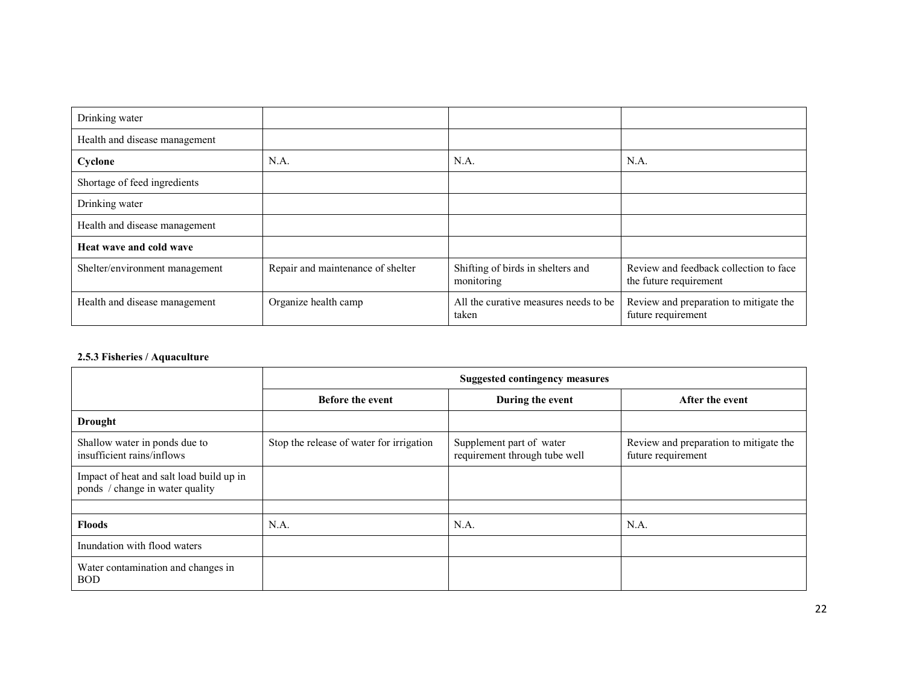| Drinking water                 |                                   |                                                 |                                                                  |
|--------------------------------|-----------------------------------|-------------------------------------------------|------------------------------------------------------------------|
| Health and disease management  |                                   |                                                 |                                                                  |
| Cyclone                        | N.A.                              | N.A.                                            | N.A.                                                             |
| Shortage of feed ingredients   |                                   |                                                 |                                                                  |
| Drinking water                 |                                   |                                                 |                                                                  |
| Health and disease management  |                                   |                                                 |                                                                  |
| Heat wave and cold wave        |                                   |                                                 |                                                                  |
| Shelter/environment management | Repair and maintenance of shelter | Shifting of birds in shelters and<br>monitoring | Review and feedback collection to face<br>the future requirement |
| Health and disease management  | Organize health camp              | All the curative measures needs to be<br>taken  | Review and preparation to mitigate the<br>future requirement     |

#### 2.5.3 Fisheries / Aquaculture

|                                                                             | <b>Suggested contingency measures</b>    |                                                           |                                                              |
|-----------------------------------------------------------------------------|------------------------------------------|-----------------------------------------------------------|--------------------------------------------------------------|
|                                                                             | <b>Before the event</b>                  | During the event                                          | After the event                                              |
| <b>Drought</b>                                                              |                                          |                                                           |                                                              |
| Shallow water in ponds due to<br>insufficient rains/inflows                 | Stop the release of water for irrigation | Supplement part of water<br>requirement through tube well | Review and preparation to mitigate the<br>future requirement |
| Impact of heat and salt load build up in<br>ponds / change in water quality |                                          |                                                           |                                                              |
|                                                                             |                                          |                                                           |                                                              |
| <b>Floods</b>                                                               | N.A.                                     | N.A.                                                      | N.A.                                                         |
| Inundation with flood waters                                                |                                          |                                                           |                                                              |
| Water contamination and changes in<br><b>BOD</b>                            |                                          |                                                           |                                                              |